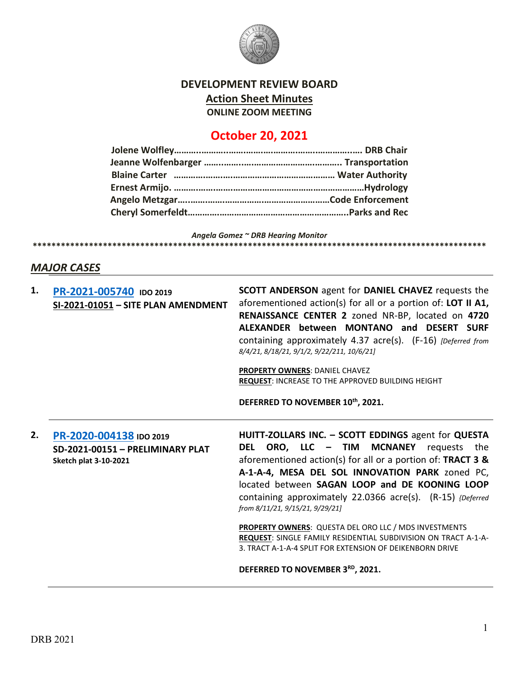

## **DEVELOPMENT REVIEW BOARD Action Sheet Minutes ONLINE ZOOM MEETING**

# **October 20, 2021**

*Angela Gomez ~ DRB Hearing Monitor* **\*\*\*\*\*\*\*\*\*\*\*\*\*\*\*\*\*\*\*\*\*\*\*\*\*\*\*\*\*\*\*\*\*\*\*\*\*\*\*\*\*\*\*\*\*\*\*\*\*\*\*\*\*\*\*\*\*\*\*\*\*\*\*\*\*\*\*\*\*\*\*\*\*\*\*\*\*\*\*\*\*\*\*\*\*\*\*\*\*\*\*\*\*\*\*\*\***

## *MAJOR CASES*

| 1. | PR-2021-005740 IDO 2019<br>SI-2021-01051 - SITE PLAN AMENDMENT                              | <b>SCOTT ANDERSON</b> agent for <b>DANIEL CHAVEZ</b> requests the<br>aforementioned action(s) for all or a portion of: LOT II A1,<br>RENAISSANCE CENTER 2 zoned NR-BP, located on 4720<br>ALEXANDER between MONTANO and DESERT SURF<br>containing approximately 4.37 acre(s). (F-16) [Deferred from<br>8/4/21, 8/18/21, 9/1/2, 9/22/211, 10/6/21]                      |
|----|---------------------------------------------------------------------------------------------|------------------------------------------------------------------------------------------------------------------------------------------------------------------------------------------------------------------------------------------------------------------------------------------------------------------------------------------------------------------------|
|    |                                                                                             | <b>PROPERTY OWNERS: DANIEL CHAVEZ</b><br><b>REQUEST: INCREASE TO THE APPROVED BUILDING HEIGHT</b>                                                                                                                                                                                                                                                                      |
|    |                                                                                             | DEFERRED TO NOVEMBER 10th, 2021.                                                                                                                                                                                                                                                                                                                                       |
| 2. | PR-2020-004138 IDO 2019<br>SD-2021-00151 - PRELIMINARY PLAT<br><b>Sketch plat 3-10-2021</b> | HUITT-ZOLLARS INC. - SCOTT EDDINGS agent for QUESTA<br>DEL ORO, LLC - TIM MCNANEY<br>requests the<br>aforementioned action(s) for all or a portion of: TRACT 3 &<br>A-1-A-4, MESA DEL SOL INNOVATION PARK zoned PC,<br>located between SAGAN LOOP and DE KOONING LOOP<br>containing approximately 22.0366 acre(s). (R-15) {Deferred<br>from 8/11/21, 9/15/21, 9/29/21] |
|    |                                                                                             | PROPERTY OWNERS: QUESTA DEL ORO LLC / MDS INVESTMENTS<br>REQUEST: SINGLE FAMILY RESIDENTIAL SUBDIVISION ON TRACT A-1-A-<br>3. TRACT A-1-A-4 SPLIT FOR EXTENSION OF DEIKENBORN DRIVE                                                                                                                                                                                    |
|    |                                                                                             | DEFERRED TO NOVEMBER 3RD, 2021.                                                                                                                                                                                                                                                                                                                                        |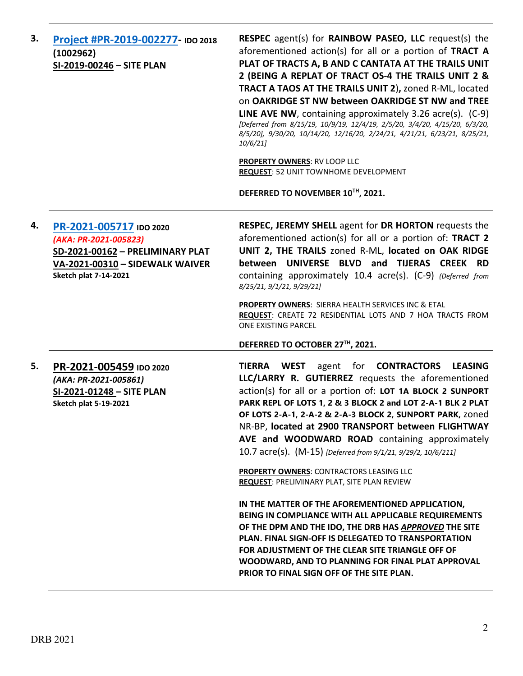**3. [Project #PR-2019-002277-](http://data.cabq.gov/government/planning/DRB/PR-2019-002277/DRB%20Submittals/) IDO 2018 (1002962) SI-2019-00246 – SITE PLAN RESPEC** agent(s) for **RAINBOW PASEO, LLC** request(s) the aforementioned action(s) for all or a portion of **TRACT A PLAT OF TRACTS A, B AND C CANTATA AT THE TRAILS UNIT 2 (BEING A REPLAT OF TRACT OS-4 THE TRAILS UNIT 2 & TRACT A TAOS AT THE TRAILS UNIT 2**)**,** zoned R-ML, located on **OAKRIDGE ST NW between OAKRIDGE ST NW and TREE LINE AVE NW**, containing approximately 3.26 acre(s). (C-9) *[Deferred from 8/15/19, 10/9/19, 12/4/19, 2/5/20, 3/4/20, 4/15/20, 6/3/20, 8/5/20], 9/30/20, 10/14/20, 12/16/20, 2/24/21, 4/21/21, 6/23/21, 8/25/21, 10/6/21]* **PROPERTY OWNERS**: RV LOOP LLC **REQUEST**: 52 UNIT TOWNHOME DEVELOPMENT **DEFERRED TO NOVEMBER 10TH, 2021. 4. [PR-2021-005717](http://data.cabq.gov/government/planning/DRB/PR-2021-005717/DRB%20Submittals/) IDO 2020** *(AKA: PR-2021-005823)* **SD-2021-00162 – PRELIMINARY PLAT VA-2021-00310 – SIDEWALK WAIVER Sketch plat 7-14-2021 RESPEC, JEREMY SHELL** agent for **DR HORTON** requests the aforementioned action(s) for all or a portion of: **TRACT 2 UNIT 2, THE TRAILS** zoned R-ML, **located on OAK RIDGE between UNIVERSE BLVD and TIJERAS CREEK RD** containing approximately 10.4 acre(s). (C-9) *(Deferred from 8/25/21, 9/1/21, 9/29/21]* **PROPERTY OWNERS**: SIERRA HEALTH SERVICES INC & ETAL **REQUEST**: CREATE 72 RESIDENTIAL LOTS AND 7 HOA TRACTS FROM ONE EXISTING PARCEL **DEFERRED TO OCTOBER 27TH, 2021. 5. [PR-2021-005459](http://data.cabq.gov/government/planning/DRB/PR-2021-005459/DRB%20Submittals/) IDO 2020** *(AKA: PR-2021-005861)* **SI-2021-01248 – SITE PLAN Sketch plat 5-19-2021 TIERRA WEST** agent for **CONTRACTORS LEASING LLC/LARRY R. GUTIERREZ** requests the aforementioned action(s) for all or a portion of: **LOT 1A BLOCK 2 SUNPORT PARK REPL OF LOTS 1, 2 & 3 BLOCK 2 and LOT 2-A-1 BLK 2 PLAT OF LOTS 2-A-1, 2-A-2 & 2-A-3 BLOCK 2, SUNPORT PARK,** zoned NR-BP, **located at 2900 TRANSPORT between FLIGHTWAY AVE and WOODWARD ROAD** containing approximately 10.7 acre(s). (M-15) *[Deferred from 9/1/21, 9/29/2, 10/6/211]* **PROPERTY OWNERS**: CONTRACTORS LEASING LLC **REQUEST**: PRELIMINARY PLAT, SITE PLAN REVIEW **IN THE MATTER OF THE AFOREMENTIONED APPLICATION, BEING IN COMPLIANCE WITH ALL APPLICABLE REQUIREMENTS OF THE DPM AND THE IDO, THE DRB HAS** *APPROVED* **THE SITE PLAN. FINAL SIGN-OFF IS DELEGATED TO TRANSPORTATION FOR ADJUSTMENT OF THE CLEAR SITE TRIANGLE OFF OF WOODWARD, AND TO PLANNING FOR FINAL PLAT APPROVAL PRIOR TO FINAL SIGN OFF OF THE SITE PLAN.**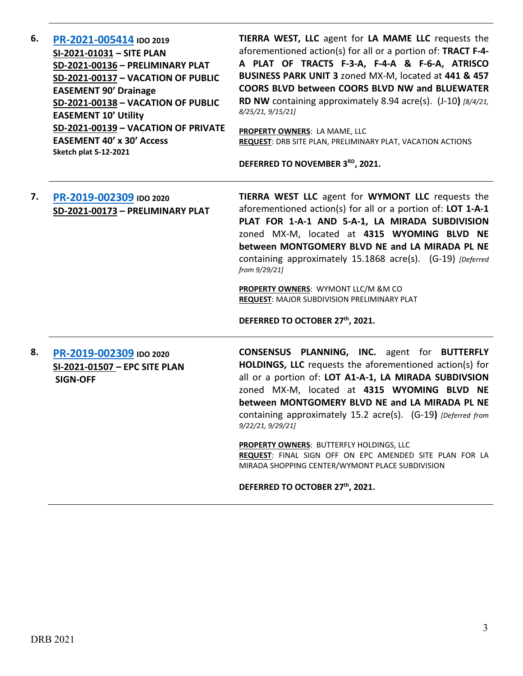| 6. | PR-2021-005414 IDO 2019<br>SI-2021-01031 - SITE PLAN<br>SD-2021-00136 - PRELIMINARY PLAT<br>SD-2021-00137 - VACATION OF PUBLIC<br><b>EASEMENT 90' Drainage</b><br>SD-2021-00138 - VACATION OF PUBLIC<br><b>EASEMENT 10' Utility</b><br>SD-2021-00139 - VACATION OF PRIVATE<br><b>EASEMENT 40' x 30' Access</b><br><b>Sketch plat 5-12-2021</b> | TIERRA WEST, LLC agent for LA MAME LLC requests the<br>aforementioned action(s) for all or a portion of: TRACT F-4-<br>A PLAT OF TRACTS F-3-A, F-4-A & F-6-A, ATRISCO<br>BUSINESS PARK UNIT 3 zoned MX-M, located at 441 & 457<br><b>COORS BLVD between COORS BLVD NW and BLUEWATER</b><br>RD NW containing approximately 8.94 acre(s). (J-10) [8/4/21,<br>8/25/21, 9/15/21]<br>PROPERTY OWNERS: LA MAME, LLC<br>REQUEST: DRB SITE PLAN, PRELIMINARY PLAT, VACATION ACTIONS<br>DEFERRED TO NOVEMBER 3RD, 2021. |
|----|------------------------------------------------------------------------------------------------------------------------------------------------------------------------------------------------------------------------------------------------------------------------------------------------------------------------------------------------|----------------------------------------------------------------------------------------------------------------------------------------------------------------------------------------------------------------------------------------------------------------------------------------------------------------------------------------------------------------------------------------------------------------------------------------------------------------------------------------------------------------|
| 7. | PR-2019-002309 IDO 2020<br>SD-2021-00173 - PRELIMINARY PLAT                                                                                                                                                                                                                                                                                    | TIERRA WEST LLC agent for WYMONT LLC requests the<br>aforementioned action(s) for all or a portion of: LOT 1-A-1<br>PLAT FOR 1-A-1 AND 5-A-1, LA MIRADA SUBDIVISION<br>zoned MX-M, located at 4315 WYOMING BLVD NE<br>between MONTGOMERY BLVD NE and LA MIRADA PL NE<br>containing approximately 15.1868 acre(s). (G-19) [Deferred<br>from 9/29/21]<br>PROPERTY OWNERS: WYMONT LLC/M &M CO<br><b>REQUEST: MAJOR SUBDIVISION PRELIMINARY PLAT</b><br>DEFERRED TO OCTOBER 27th, 2021.                            |
| 8. | PR-2019-002309 IDO 2020<br>SI-2021-01507 - EPC SITE PLAN<br><b>SIGN-OFF</b>                                                                                                                                                                                                                                                                    | CONSENSUS PLANNING, INC. agent for BUTTERFLY<br><b>HOLDINGS, LLC</b> requests the aforementioned action(s) for<br>all or a portion of: LOT A1-A-1, LA MIRADA SUBDIVSION<br>zoned MX-M, located at 4315 WYOMING BLVD NE<br>between MONTGOMERY BLVD NE and LA MIRADA PL NE<br>containing approximately 15.2 acre(s). (G-19) [Deferred from<br>9/22/21, 9/29/21]<br>PROPERTY OWNERS: BUTTERFLY HOLDINGS, LLC                                                                                                      |

**REQUEST**: FINAL SIGN OFF ON EPC AMENDED SITE PLAN FOR LA MIRADA SHOPPING CENTER/WYMONT PLACE SUBDIVISION

**DEFERRED TO OCTOBER 27th, 2021.**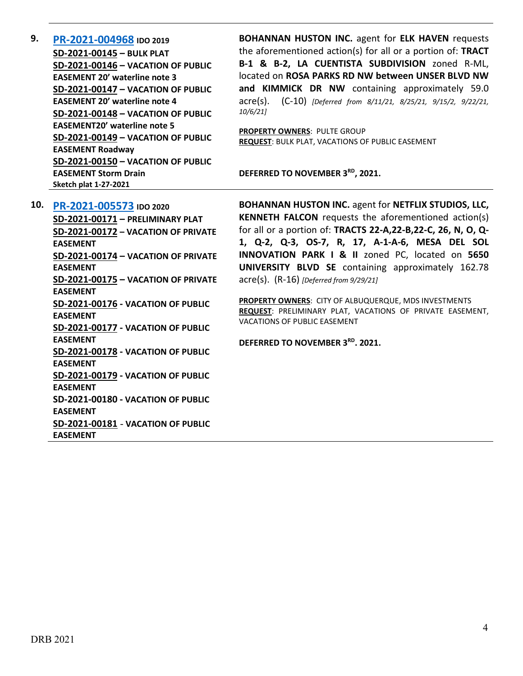**9. [PR-2021-004968](http://data.cabq.gov/government/planning/DRB/PR-2021-004968/DRB%20Submittals/PR-2021-004968_AUG_11_2021%20(Bulk%20P.,%20VPE%20x5)/Application/Bulk_Plat_Submittal_Package%20(1).pdf) IDO 2019 SD-2021-00145 – BULK PLAT SD-2021-00146 – VACATION OF PUBLIC EASEMENT 20' waterline note 3 SD-2021-00147 – VACATION OF PUBLIC EASEMENT 20' waterline note 4 SD-2021-00148 – VACATION OF PUBLIC EASEMENT20' waterline note 5 SD-2021-00149 – VACATION OF PUBLIC EASEMENT Roadway SD-2021-00150 – VACATION OF PUBLIC EASEMENT Storm Drain Sketch plat 1-27-2021**

**BOHANNAN HUSTON INC.** agent for **ELK HAVEN** requests the aforementioned action(s) for all or a portion of: **TRACT B-1 & B-2, LA CUENTISTA SUBDIVISION** zoned R-ML, located on **ROSA PARKS RD NW between UNSER BLVD NW and KIMMICK DR NW** containing approximately 59.0 acre(s). (C-10) *[Deferred from 8/11/21, 8/25/21, 9/15/2, 9/22/21, 10/6/21]*

**PROPERTY OWNERS**: PULTE GROUP **REQUEST**: BULK PLAT, VACATIONS OF PUBLIC EASEMENT

**DEFERRED TO NOVEMBER 3RD, 2021.**

**10. [PR-2021-005573](http://data.cabq.gov/government/planning/DRB/PR-2021-005573/DRB%20Submittals/) IDO 2020 SD-2021-00171 – PRELIMINARY PLAT SD-2021-00172 – VACATION OF PRIVATE EASEMENT SD-2021-00174 – VACATION OF PRIVATE EASEMENT SD-2021-00175 – VACATION OF PRIVATE EASEMENT SD-2021-00176 - VACATION OF PUBLIC EASEMENT SD-2021-00177 - VACATION OF PUBLIC EASEMENT SD-2021-00178 - VACATION OF PUBLIC EASEMENT SD-2021-00179 - VACATION OF PUBLIC EASEMENT SD-2021-00180 - VACATION OF PUBLIC EASEMENT SD-2021-00181** - **VACATION OF PUBLIC EASEMENT**

**BOHANNAN HUSTON INC.** agent for **NETFLIX STUDIOS, LLC, KENNETH FALCON** requests the aforementioned action(s) for all or a portion of: **TRACTS 22-A,22-B,22-C, 26, N, O, Q-1, Q-2, Q-3, OS-7, R, 17, A-1-A-6, MESA DEL SOL INNOVATION PARK I & II** zoned PC, located on **5650 UNIVERSITY BLVD SE** containing approximately 162.78 acre(s). (R-16) *[Deferred from 9/29/21]*

**PROPERTY OWNERS**: CITY OF ALBUQUERQUE, MDS INVESTMENTS **REQUEST**: PRELIMINARY PLAT, VACATIONS OF PRIVATE EASEMENT, VACATIONS OF PUBLIC EASEMENT

**DEFERRED TO NOVEMBER 3RD. 2021.**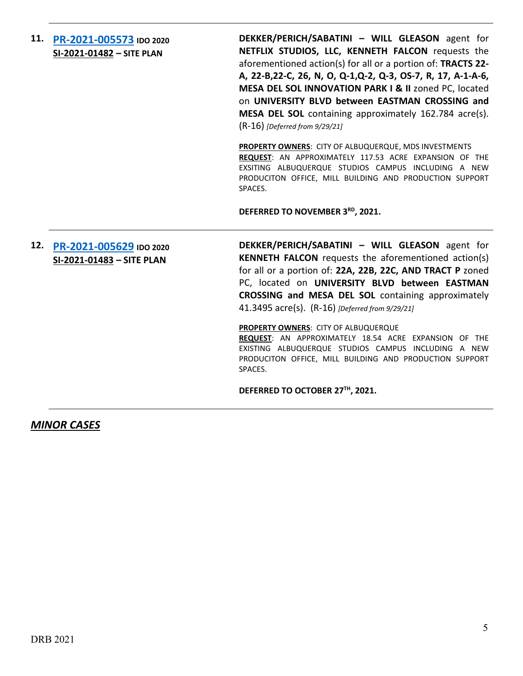**11. [PR-2021-005573](http://data.cabq.gov/government/planning/DRB/PR-2021-005573/DRB%20Submittals/) IDO 2020 SI-2021-01482 – SITE PLAN**

**DEKKER/PERICH/SABATINI – WILL GLEASON** agent for **NETFLIX STUDIOS, LLC, KENNETH FALCON** requests the aforementioned action(s) for all or a portion of: **TRACTS 22- A, 22-B,22-C, 26, N, O, Q-1,Q-2, Q-3, OS-7, R, 17, A-1-A-6, MESA DEL SOL INNOVATION PARK I & II** zoned PC, located on **UNIVERSITY BLVD between EASTMAN CROSSING and MESA DEL SOL** containing approximately 162.784 acre(s). (R-16) *[Deferred from 9/29/21]*

**PROPERTY OWNERS**: CITY OF ALBUQUERQUE, MDS INVESTMENTS **REQUEST**: AN APPROXIMATELY 117.53 ACRE EXPANSION OF THE EXSITING ALBUQUERQUE STUDIOS CAMPUS INCLUDING A NEW PRODUCITON OFFICE, MILL BUILDING AND PRODUCTION SUPPORT SPACES.

**DEFERRED TO NOVEMBER 3RD, 2021.**

## **12. [PR-2021-005629](http://data.cabq.gov/government/planning/DRB/PR-2021-005629/DRB%20Submittals/) IDO 2020 SI-2021-01483 – SITE PLAN**

**DEKKER/PERICH/SABATINI – WILL GLEASON** agent for **KENNETH FALCON** requests the aforementioned action(s) for all or a portion of: **22A, 22B, 22C, AND TRACT P** zoned PC, located on **UNIVERSITY BLVD between EASTMAN CROSSING and MESA DEL SOL** containing approximately 41.3495 acre(s). (R-16) *[Deferred from 9/29/21]*

#### **PROPERTY OWNERS**: CITY OF ALBUQUERQUE

**REQUEST**: AN APPROXIMATELY 18.54 ACRE EXPANSION OF THE EXISTING ALBUQUERQUE STUDIOS CAMPUS INCLUDING A NEW PRODUCITON OFFICE, MILL BUILDING AND PRODUCTION SUPPORT SPACES.

**DEFERRED TO OCTOBER 27TH, 2021.**

### *MINOR CASES*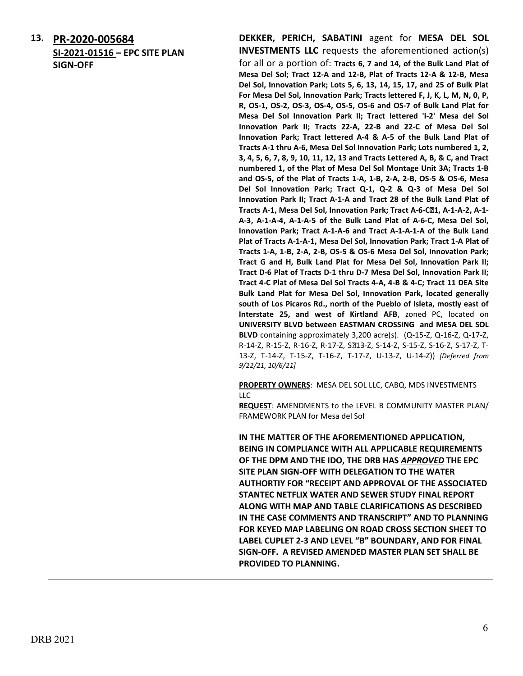**13. [PR-2020-005684](http://data.cabq.gov/government/planning/DRB/PR-2021-005684/DRB%20Submittals/) SI-2021-01516 – EPC SITE PLAN SIGN-OFF**

**DEKKER, PERICH, SABATINI** agent for **MESA DEL SOL INVESTMENTS LLC** requests the aforementioned action(s) for all or a portion of: **Tracts 6, 7 and 14, of the Bulk Land Plat of Mesa Del Sol; Tract 12-A and 12-B, Plat of Tracts 12-A & 12-B, Mesa Del Sol, Innovation Park; Lots 5, 6, 13, 14, 15, 17, and 25 of Bulk Plat For Mesa Del Sol, Innovation Park; Tracts lettered F, J, K, L, M, N, 0, P, R, OS-1, OS-2, OS-3, OS-4, OS-5, OS-6 and OS-7 of Bulk Land Plat for Mesa Del Sol Innovation Park II; Tract lettered 'I-2' Mesa del Sol Innovation Park II; Tracts 22-A, 22-B and 22-C of Mesa Del Sol Innovation Park; Tract lettered A-4 & A-5 of the Bulk Land Plat of Tracts A-1 thru A-6, Mesa Del Sol Innovation Park; Lots numbered 1, 2, 3, 4, 5, 6, 7, 8, 9, 10, 11, 12, 13 and Tracts Lettered A, B, & C, and Tract numbered 1, of the Plat of Mesa Del Sol Montage Unit 3A; Tracts 1-B and OS-5, of the Plat of Tracts 1-A, 1-B, 2-A, 2-B, OS-5 & OS-6, Mesa Del Sol Innovation Park; Tract Q-1, Q-2 & Q-3 of Mesa Del Sol Innovation Park II; Tract A-1-A and Tract 28 of the Bulk Land Plat of Tracts A-1, Mesa Del Sol, Innovation Park; Tract A-6-C-1, A-1-A-2, A-1- A-3, A-1-A-4, A-1-A-5 of the Bulk Land Plat of A-6-C, Mesa Del Sol, Innovation Park; Tract A-1-A-6 and Tract A-1-A-1-A of the Bulk Land Plat of Tracts A-1-A-1, Mesa Del Sol, Innovation Park; Tract 1-A Plat of Tracts 1-A, 1-B, 2-A, 2-B, OS-5 & OS-6 Mesa Del Sol, Innovation Park; Tract G and H, Bulk Land Plat for Mesa Del Sol, Innovation Park II; Tract D-6 Plat of Tracts D-1 thru D-7 Mesa Del Sol, Innovation Park II; Tract 4-C Plat of Mesa Del Sol Tracts 4-A, 4-B & 4-C; Tract 11 DEA Site Bulk Land Plat for Mesa Del Sol, Innovation Park, located generally south of Los Picaros Rd., north of the Pueblo of Isleta, mostly east of Interstate 25, and west of Kirtland AFB**, zoned PC, located on **UNIVERSITY BLVD between EASTMAN CROSSING and MESA DEL SOL BLVD** containing approximately 3,200 acre(s). (Q-15-Z, Q-16-Z, Q-17-Z, R-14-Z, R-15-Z, R-16-Z, R-17-Z, S213-Z, S-14-Z, S-15-Z, S-16-Z, S-17-Z, T-13-Z, T-14-Z, T-15-Z, T-16-Z, T-17-Z, U-13-Z, U-14-Z)) *[Deferred from 9/22/21, 10/6/21]*

**PROPERTY OWNERS**: MESA DEL SOL LLC, CABQ, MDS INVESTMENTS LLC

**REQUEST**: AMENDMENTS to the LEVEL B COMMUNITY MASTER PLAN/ FRAMEWORK PLAN for Mesa del Sol

**IN THE MATTER OF THE AFOREMENTIONED APPLICATION, BEING IN COMPLIANCE WITH ALL APPLICABLE REQUIREMENTS OF THE DPM AND THE IDO, THE DRB HAS** *APPROVED* **THE EPC SITE PLAN SIGN-OFF WITH DELEGATION TO THE WATER AUTHORTIY FOR "RECEIPT AND APPROVAL OF THE ASSOCIATED STANTEC NETFLIX WATER AND SEWER STUDY FINAL REPORT ALONG WITH MAP AND TABLE CLARIFICATIONS AS DESCRIBED IN THE CASE COMMENTS AND TRANSCRIPT" AND TO PLANNING FOR KEYED MAP LABELING ON ROAD CROSS SECTION SHEET TO LABEL CUPLET 2-3 AND LEVEL "B" BOUNDARY, AND FOR FINAL SIGN-OFF. A REVISED AMENDED MASTER PLAN SET SHALL BE PROVIDED TO PLANNING.**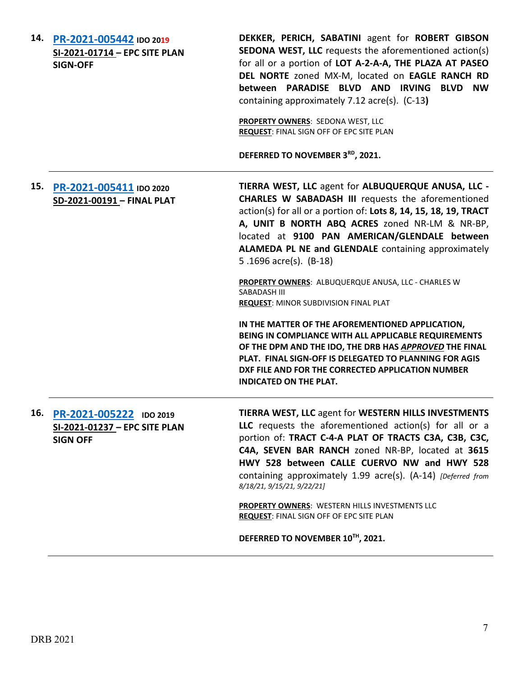|     | 14. PR-2021-005442 IDO 2019<br>SI-2021-01714 - EPC SITE PLAN<br><b>SIGN-OFF</b> | DEKKER, PERICH, SABATINI agent for ROBERT GIBSON<br><b>SEDONA WEST, LLC</b> requests the aforementioned action(s)<br>for all or a portion of LOT A-2-A-A, THE PLAZA AT PASEO<br>DEL NORTE zoned MX-M, located on EAGLE RANCH RD<br>between PARADISE BLVD AND IRVING BLVD NW<br>containing approximately 7.12 acre(s). (C-13)<br>PROPERTY OWNERS: SEDONA WEST, LLC<br>REQUEST: FINAL SIGN OFF OF EPC SITE PLAN<br>DEFERRED TO NOVEMBER 3RD, 2021. |
|-----|---------------------------------------------------------------------------------|--------------------------------------------------------------------------------------------------------------------------------------------------------------------------------------------------------------------------------------------------------------------------------------------------------------------------------------------------------------------------------------------------------------------------------------------------|
| 15. | PR-2021-005411 IDO 2020<br>SD-2021-00191 - FINAL PLAT                           | TIERRA WEST, LLC agent for ALBUQUERQUE ANUSA, LLC -<br><b>CHARLES W SABADASH III</b> requests the aforementioned<br>action(s) for all or a portion of: Lots 8, 14, 15, 18, 19, TRACT<br>A, UNIT B NORTH ABQ ACRES zoned NR-LM & NR-BP,<br>located at 9100 PAN AMERICAN/GLENDALE between<br>ALAMEDA PL NE and GLENDALE containing approximately<br>5.1696 acre(s). (B-18)<br>PROPERTY OWNERS: ALBUQUERQUE ANUSA, LLC - CHARLES W                  |
|     |                                                                                 | SABADASH III<br><b>REQUEST: MINOR SUBDIVISION FINAL PLAT</b>                                                                                                                                                                                                                                                                                                                                                                                     |
|     |                                                                                 | IN THE MATTER OF THE AFOREMENTIONED APPLICATION,<br>BEING IN COMPLIANCE WITH ALL APPLICABLE REQUIREMENTS<br>OF THE DPM AND THE IDO, THE DRB HAS APPROVED THE FINAL<br>PLAT. FINAL SIGN-OFF IS DELEGATED TO PLANNING FOR AGIS<br>DXF FILE AND FOR THE CORRECTED APPLICATION NUMBER<br><b>INDICATED ON THE PLAT.</b>                                                                                                                               |
| 16. | PR-2021-005222 IDO 2019<br>SI-2021-01237 - EPC SITE PLAN<br><b>SIGN OFF</b>     | TIERRA WEST, LLC agent for WESTERN HILLS INVESTMENTS<br>LLC requests the aforementioned action(s) for all or a<br>portion of: TRACT C-4-A PLAT OF TRACTS C3A, C3B, C3C,<br>C4A, SEVEN BAR RANCH zoned NR-BP, located at 3615<br>HWY 528 between CALLE CUERVO NW and HWY 528<br>containing approximately 1.99 acre(s). (A-14) [Deferred from<br>8/18/21, 9/15/21, 9/22/21]                                                                        |
|     |                                                                                 | PROPERTY OWNERS: WESTERN HILLS INVESTMENTS LLC<br>REQUEST: FINAL SIGN OFF OF EPC SITE PLAN                                                                                                                                                                                                                                                                                                                                                       |
|     |                                                                                 | DEFERRED TO NOVEMBER 10TH, 2021.                                                                                                                                                                                                                                                                                                                                                                                                                 |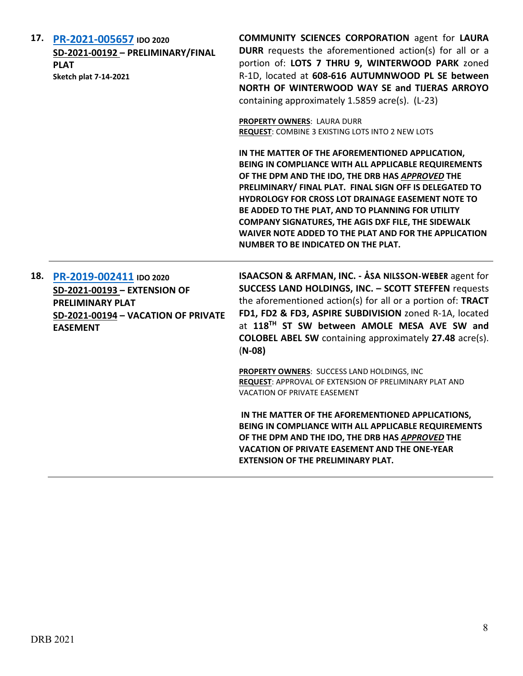| 17. | PR-2021-005657 IDO 2020<br>SD-2021-00192 - PRELIMINARY/FINAL<br><b>PLAT</b><br><b>Sketch plat 7-14-2021</b>                                  | <b>COMMUNITY SCIENCES CORPORATION agent for LAURA</b><br><b>DURR</b> requests the aforementioned action(s) for all or a<br>portion of: LOTS 7 THRU 9, WINTERWOOD PARK zoned<br>R-1D, located at 608-616 AUTUMNWOOD PL SE between<br>NORTH OF WINTERWOOD WAY SE and TIJERAS ARROYO<br>containing approximately 1.5859 acre(s). (L-23)                                                                                                                                                                   |
|-----|----------------------------------------------------------------------------------------------------------------------------------------------|--------------------------------------------------------------------------------------------------------------------------------------------------------------------------------------------------------------------------------------------------------------------------------------------------------------------------------------------------------------------------------------------------------------------------------------------------------------------------------------------------------|
|     |                                                                                                                                              | PROPERTY OWNERS: LAURA DURR<br>REQUEST: COMBINE 3 EXISTING LOTS INTO 2 NEW LOTS                                                                                                                                                                                                                                                                                                                                                                                                                        |
|     |                                                                                                                                              | IN THE MATTER OF THE AFOREMENTIONED APPLICATION,<br>BEING IN COMPLIANCE WITH ALL APPLICABLE REQUIREMENTS<br>OF THE DPM AND THE IDO, THE DRB HAS APPROVED THE<br>PRELIMINARY/ FINAL PLAT. FINAL SIGN OFF IS DELEGATED TO<br>HYDROLOGY FOR CROSS LOT DRAINAGE EASEMENT NOTE TO<br>BE ADDED TO THE PLAT, AND TO PLANNING FOR UTILITY<br><b>COMPANY SIGNATURES, THE AGIS DXF FILE, THE SIDEWALK</b><br>WAIVER NOTE ADDED TO THE PLAT AND FOR THE APPLICATION<br><b>NUMBER TO BE INDICATED ON THE PLAT.</b> |
| 18. | PR-2019-002411 IDO 2020<br>SD-2021-00193 - EXTENSION OF<br><b>PRELIMINARY PLAT</b><br>SD-2021-00194 - VACATION OF PRIVATE<br><b>EASEMENT</b> | ISAACSON & ARFMAN, INC. - ÅSA NILSSON-WEBER agent for<br>SUCCESS LAND HOLDINGS, INC. - SCOTT STEFFEN requests<br>the aforementioned action(s) for all or a portion of: TRACT<br>FD1, FD2 & FD3, ASPIRE SUBDIVISION zoned R-1A, located<br>at 118TH ST SW between AMOLE MESA AVE SW and<br><b>COLOBEL ABEL SW</b> containing approximately 27.48 acre(s).<br>$(N-08)$                                                                                                                                   |
|     |                                                                                                                                              | PROPERTY OWNERS: SUCCESS LAND HOLDINGS, INC<br>REQUEST: APPROVAL OF EXTENSION OF PRELIMINARY PLAT AND<br><b>VACATION OF PRIVATE EASEMENT</b>                                                                                                                                                                                                                                                                                                                                                           |
|     |                                                                                                                                              | IN THE MATTER OF THE AFOREMENTIONED APPLICATIONS,<br>BEING IN COMPLIANCE WITH ALL APPLICABLE REQUIREMENTS<br>OF THE DPM AND THE IDO, THE DRB HAS APPROVED THE<br><b>VACATION OF PRIVATE EASEMENT AND THE ONE-YEAR</b><br><b>EXTENSION OF THE PRELIMINARY PLAT.</b>                                                                                                                                                                                                                                     |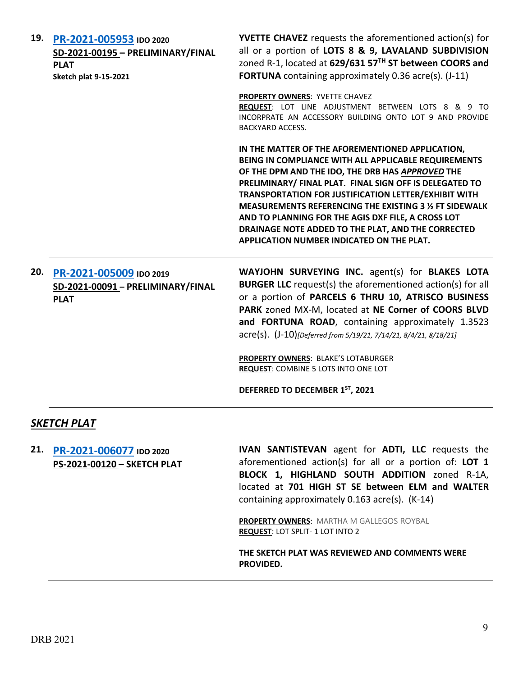| 19. | PR-2021-005953 IDO 2020<br>SD-2021-00195 - PRELIMINARY/FINAL<br><b>PLAT</b><br><b>Sketch plat 9-15-2021</b> | <b>YVETTE CHAVEZ</b> requests the aforementioned action(s) for<br>all or a portion of LOTS 8 & 9, LAVALAND SUBDIVISION<br>zoned R-1, located at 629/631 57TH ST between COORS and<br>FORTUNA containing approximately 0.36 acre(s). (J-11)                                                                                                                                                                                                                                                        |
|-----|-------------------------------------------------------------------------------------------------------------|---------------------------------------------------------------------------------------------------------------------------------------------------------------------------------------------------------------------------------------------------------------------------------------------------------------------------------------------------------------------------------------------------------------------------------------------------------------------------------------------------|
|     |                                                                                                             | <b>PROPERTY OWNERS: YVETTE CHAVEZ</b><br>REQUEST: LOT LINE ADJUSTMENT BETWEEN LOTS 8 & 9 TO<br>INCORPRATE AN ACCESSORY BUILDING ONTO LOT 9 AND PROVIDE<br><b>BACKYARD ACCESS.</b>                                                                                                                                                                                                                                                                                                                 |
|     |                                                                                                             | IN THE MATTER OF THE AFOREMENTIONED APPLICATION,<br>BEING IN COMPLIANCE WITH ALL APPLICABLE REQUIREMENTS<br>OF THE DPM AND THE IDO, THE DRB HAS APPROVED THE<br>PRELIMINARY/ FINAL PLAT. FINAL SIGN OFF IS DELEGATED TO<br>TRANSPORTATION FOR JUSTIFICATION LETTER/EXHIBIT WITH<br>MEASUREMENTS REFERENCING THE EXISTING 3 % FT SIDEWALK<br>AND TO PLANNING FOR THE AGIS DXF FILE, A CROSS LOT<br>DRAINAGE NOTE ADDED TO THE PLAT, AND THE CORRECTED<br>APPLICATION NUMBER INDICATED ON THE PLAT. |
| 20. | PR-2021-005009 IDO 2019<br>SD-2021-00091 - PRELIMINARY/FINAL<br><b>PLAT</b>                                 | WAYJOHN SURVEYING INC. agent(s) for BLAKES LOTA<br><b>BURGER LLC</b> request(s) the aforementioned action(s) for all<br>or a portion of PARCELS 6 THRU 10, ATRISCO BUSINESS<br>PARK zoned MX-M, located at NE Corner of COORS BLVD<br>and FORTUNA ROAD, containing approximately 1.3523<br>acre(s). (J-10)[Deferred from 5/19/21, 7/14/21, 8/4/21, 8/18/21]                                                                                                                                       |
|     |                                                                                                             | <b>PROPERTY OWNERS: BLAKE'S LOTABURGER</b><br>REQUEST: COMBINE 5 LOTS INTO ONE LOT<br>DEFERRED TO DECEMBER 1ST, 2021                                                                                                                                                                                                                                                                                                                                                                              |

### *SKETCH PLAT*

**21. [PR-2021-006077](http://data.cabq.gov/government/planning/DRB/PR-2021-006077/DRB%20Submittals/PR-2021-006077_Oct_20_2021/Application/) IDO 2020 PS-2021-00120 – SKETCH PLAT**

**IVAN SANTISTEVAN** agent for **ADTI, LLC** requests the aforementioned action(s) for all or a portion of: **LOT 1 BLOCK 1, HIGHLAND SOUTH ADDITION** zoned R-1A, located at **701 HIGH ST SE between ELM and WALTER** containing approximately 0.163 acre(s). (K-14)

**PROPERTY OWNERS**: MARTHA M GALLEGOS ROYBAL **REQUEST**: LOT SPLIT- 1 LOT INTO 2

**THE SKETCH PLAT WAS REVIEWED AND COMMENTS WERE PROVIDED.**